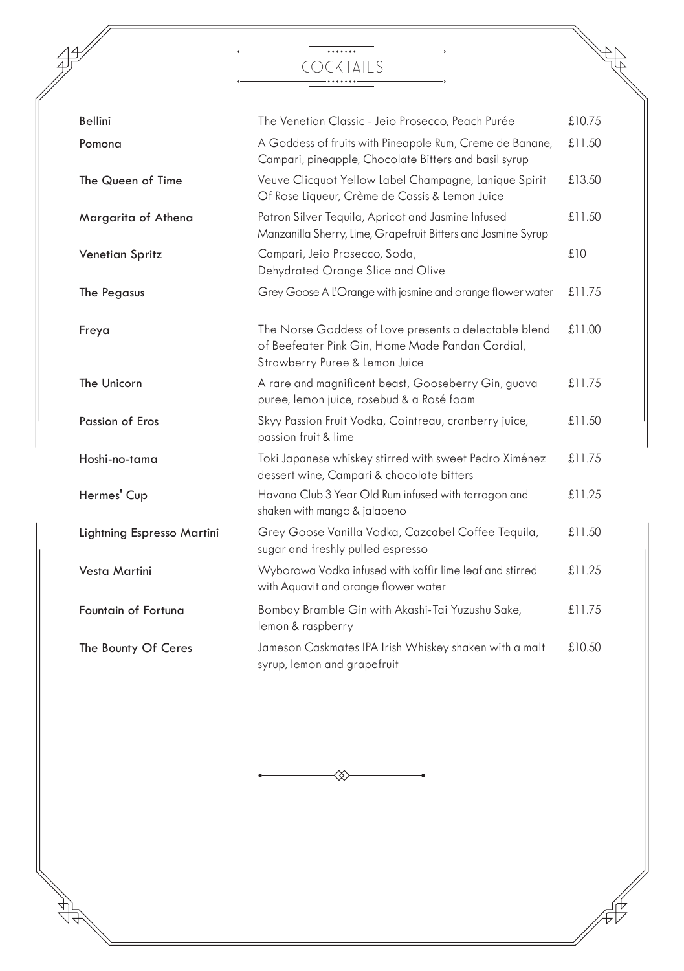# \_.......\_\_\_ COCKTAILS

 $47^{\circ}$ 

 $\frac{1}{\sqrt{10}}$ 

| <b>Bellini</b>             | The Venetian Classic - Jeio Prosecco, Peach Purée                                                                                           | £10.75 |
|----------------------------|---------------------------------------------------------------------------------------------------------------------------------------------|--------|
| Pomona                     | A Goddess of fruits with Pineapple Rum, Creme de Banane,<br>Campari, pineapple, Chocolate Bitters and basil syrup                           | £11.50 |
| The Queen of Time          | Veuve Clicquot Yellow Label Champagne, Lanique Spirit<br>Of Rose Liqueur, Crème de Cassis & Lemon Juice                                     | £13.50 |
| Margarita of Athena        | Patron Silver Tequila, Apricot and Jasmine Infused<br>Manzanilla Sherry, Lime, Grapefruit Bitters and Jasmine Syrup                         | £11.50 |
| Venetian Spritz            | Campari, Jeio Prosecco, Soda,<br>Dehydrated Orange Slice and Olive                                                                          | £10    |
| The Pegasus                | Grey Goose A L'Orange with jasmine and orange flower water                                                                                  | £11.75 |
| Freya                      | The Norse Goddess of Love presents a delectable blend<br>of Beefeater Pink Gin, Home Made Pandan Cordial,<br>Strawberry Puree & Lemon Juice | £11.00 |
| The Unicorn                | A rare and magnificent beast, Gooseberry Gin, guava<br>puree, lemon juice, rosebud & a Rosé foam                                            | £11.75 |
| Passion of Eros            | Skyy Passion Fruit Vodka, Cointreau, cranberry juice,<br>passion fruit & lime                                                               | £11.50 |
| Hoshi-no-tama              | Toki Japanese whiskey stirred with sweet Pedro Ximénez<br>dessert wine, Campari & chocolate bitters                                         | £11.75 |
| Hermes' Cup                | Havana Club 3 Year Old Rum infused with tarragon and<br>shaken with mango & jalapeno                                                        | £11.25 |
| Lightning Espresso Martini | Grey Goose Vanilla Vodka, Cazcabel Coffee Tequila,<br>sugar and freshly pulled espresso                                                     | £11.50 |
| Vesta Martini              | Wyborowa Vodka infused with kaffir lime leaf and stirred<br>with Aquavit and orange flower water                                            | £11.25 |
| Fountain of Fortuna        | Bombay Bramble Gin with Akashi-Tai Yuzushu Sake,<br>lemon & raspberry                                                                       | £11.75 |
| The Bounty Of Ceres        | Jameson Caskmates IPA Irish Whiskey shaken with a malt<br>syrup, lemon and grapefruit                                                       | £10.50 |

≪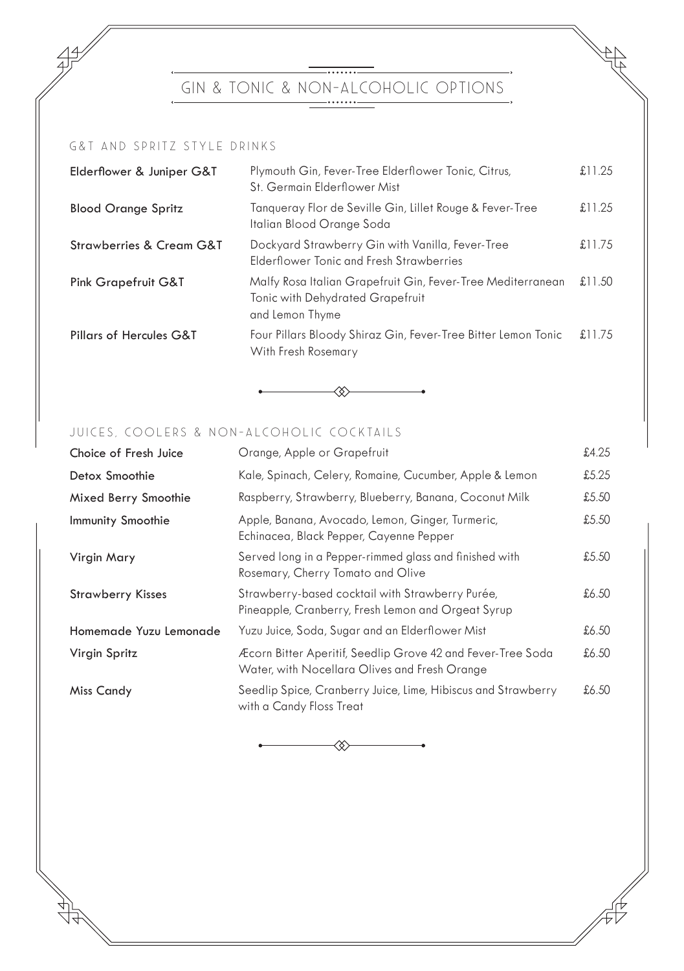- • • • • • • • – GIN & TONIC & NON-ALCOHOLIC OPTIONS ## G&T And Spritz Style Drinks

| Elderflower & Juniper G&T          | Plymouth Gin, Fever-Tree Elderflower Tonic, Citrus,<br>St. Germain Elderflower Mist                                | £11.25 |
|------------------------------------|--------------------------------------------------------------------------------------------------------------------|--------|
| <b>Blood Orange Spritz</b>         | Tangueray Flor de Seville Gin, Lillet Rouge & Fever-Tree<br>Italian Blood Orange Soda                              | £11.25 |
| Strawberries & Cream G&T           | Dockyard Strawberry Gin with Vanilla, Fever-Tree<br>Elderflower Tonic and Fresh Strawberries                       | £11.75 |
| <b>Pink Grapefruit G&amp;T</b>     | Malfy Rosa Italian Grapefruit Gin, Fever-Tree Mediterranean<br>Tonic with Dehydrated Grapefruit<br>and Lemon Thyme | £11.50 |
| <b>Pillars of Hercules G&amp;T</b> | Four Pillars Bloody Shiraz Gin, Fever-Tree Bitter Lemon Tonic<br>With Fresh Rosemary                               | £11.75 |



## JUICES, COOLERS & NON-ALCOHOLIC COCKTAILS

| Choice of Fresh Juice    | Orange, Apple or Grapefruit                                                                                  | £4.25 |
|--------------------------|--------------------------------------------------------------------------------------------------------------|-------|
| Detox Smoothie           | Kale, Spinach, Celery, Romaine, Cucumber, Apple & Lemon                                                      | £5.25 |
| Mixed Berry Smoothie     | Raspberry, Strawberry, Blueberry, Banana, Coconut Milk                                                       | £5.50 |
| Immunity Smoothie        | Apple, Banana, Avocado, Lemon, Ginger, Turmeric,<br>Echinacea, Black Pepper, Cayenne Pepper                  | £5.50 |
| Virgin Mary              | Served long in a Pepper-rimmed glass and finished with<br>Rosemary, Cherry Tomato and Olive                  | £5.50 |
| <b>Strawberry Kisses</b> | Strawberry-based cocktail with Strawberry Purée,<br>Pineapple, Cranberry, Fresh Lemon and Orgeat Syrup       | £6.50 |
| Homemade Yuzu Lemonade   | Yuzu Juice, Soda, Sugar and an Elderflower Mist                                                              | £6.50 |
| Virgin Spritz            | Æcorn Bitter Aperitif, Seedlip Grove 42 and Fever-Tree Soda<br>Water, with Nocellara Olives and Fresh Orange | £6.50 |
| <b>Miss Candy</b>        | Seedlip Spice, Cranberry Juice, Lime, Hibiscus and Strawberry<br>with a Candy Floss Treat                    | £6.50 |

≪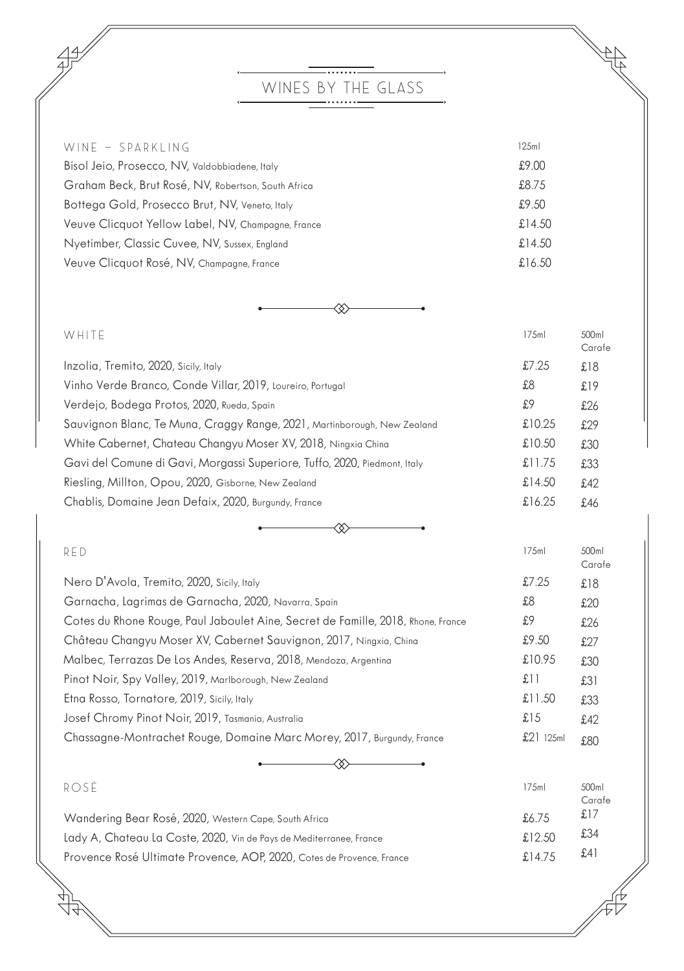# WINES BY THE GLASS

 $\frac{49}{7}$ 

| WINE - SPARKLING                                    | 125ml     |
|-----------------------------------------------------|-----------|
| Bisol Jeio, Prosecco, NV, Valdobbiadene, Italy      | £9.00     |
| Graham Beck, Brut Rosé, NV, Robertson, South Africa | £8.75     |
| Bottega Gold, Prosecco Brut, NV, Veneto, Italy      | £9.50     |
| Veuve Clicquot Yellow Label, NV, Champagne, France  | £14.50    |
| Nyetimber, Classic Cuvee, NV, Sussex, England       | £14.50    |
| Veuve Clicquot Rosé, NV, Champagne, France          | £ $16.50$ |

 $\begin{matrix} \frac{4}{3} \\ \frac{4}{3} \end{matrix}$ 

44

◈

| WHITE                                                                     | 175ml  | 500ml<br>Carafe |
|---------------------------------------------------------------------------|--------|-----------------|
| Inzolia, Tremito, 2020, Sicily, Italy                                     | £7.25  | £18             |
| Vinho Verde Branco, Conde Villar, 2019, Loureiro, Portugal                | £8     | £19             |
| Verdejo, Bodega Protos, 2020, Rueda, Spain                                | £9     | £26             |
| Sauvignon Blanc, Te Muna, Craggy Range, 2021, Martinborough, New Zealand  | £10.25 | £29             |
| White Cabernet, Chateau Changyu Moser XV, 2018, Ningxia China             | £10.50 | £30             |
| Gavi del Comune di Gavi, Morgassi Superiore, Tuffo, 2020, Piedmont, Italy | £11.75 | £33             |
| Riesling, Millton, Opou, 2020, Gisborne, New Zealand                      | £14.50 | £42             |
| Chablis, Domaine Jean Defaix, 2020, Burgundy, France                      | £16.25 | £46             |

| $\sim$ $\sim$ |  |
|---------------|--|
|               |  |

RED 175ml 500ml

|             | Carafe |
|-------------|--------|
| £7.25       | £18    |
| £8          | £20    |
| £9          | £26    |
| £9.50       | £27    |
| £10.95      | £30    |
| £11         | £31    |
| £11.50      | £33    |
| £15         | £42    |
| $£21$ 125ml | £80    |
|             |        |

| ROSÉ                                                                  | 17.5ml | 500ml<br>Carafe |
|-----------------------------------------------------------------------|--------|-----------------|
| Wandering Bear Rosé, 2020, Western Cape, South Africa                 | £6 7.5 | £17             |
| Lady A, Chateau La Coste, 2020, Vin de Pays de Mediterranee, France   | £12,50 | £34             |
| Provence Rosé Ultimate Provence, AOP, 2020, Cotes de Provence, France | £1475  | £41             |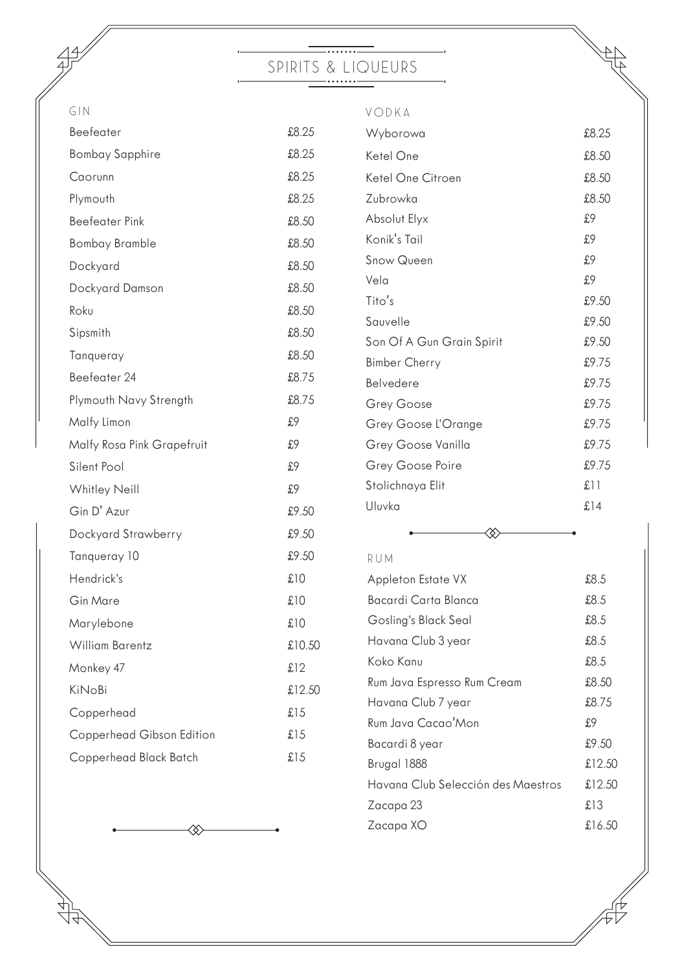## ---------SPIRITS & LIQUEURS

| G/N                        |        | VODKA                       |        |
|----------------------------|--------|-----------------------------|--------|
| Beefeater                  | £8.25  | Wyborowa                    | £8.25  |
| <b>Bombay Sapphire</b>     | £8.25  | Ketel One                   | £8.50  |
| Caorunn                    | £8.25  | Ketel One Citroen           | £8.50  |
| Plymouth                   | £8.25  | Zubrowka                    | £8.50  |
| <b>Beefeater Pink</b>      | £8.50  | Absolut Elyx                | £9     |
| <b>Bombay Bramble</b>      | £8.50  | Konik's Tail                | £9     |
| Dockyard                   | £8.50  | Snow Queen                  | £9     |
| Dockyard Damson            | £8.50  | Vela                        | £9     |
| Roku                       | £8.50  | Tito's                      | £9.50  |
| Sipsmith                   | £8.50  | Sauvelle                    | £9.50  |
| Tanqueray                  | £8.50  | Son Of A Gun Grain Spirit   | £9.50  |
|                            |        | <b>Bimber Cherry</b>        | £9.75  |
| Beefeater 24               | £8.75  | Belvedere                   | £9.75  |
| Plymouth Navy Strength     | £8.75  | Grey Goose                  | £9.75  |
| Malfy Limon                | £9     | Grey Goose L'Orange         | £9.75  |
| Malfy Rosa Pink Grapefruit | £9     | Grey Goose Vanilla          | £9.75  |
| Silent Pool                | £9     | Grey Goose Poire            | £9.75  |
| Whitley Neill              | £9     | Stolichnaya Elit            | f11    |
| Gin D' Azur                | £9.50  | Uluvka                      | £14    |
| Dockyard Strawberry        | £9.50  | ఘ                           |        |
| Tanqueray 10               | £9.50  | RUM                         |        |
| Hendrick's                 | £10    | Appleton Estate VX          | £8.5   |
| Gin Mare                   | £10    | Bacardi Carta Blanca        | £8.5   |
| Marylebone                 | £10    | Gosling's Black Seal        | £8.5   |
| <b>William Barentz</b>     | £10.50 | Havana Club 3 year          | £8.5   |
| Monkey 47                  | £12    | Koko Kanu                   | £8.5   |
| KiNoBi                     | £12.50 | Rum Java Espresso Rum Cream | £8.50  |
| Copperhead                 | £15    | Havana Club 7 year          | £8.75  |
|                            |        | Rum Java Cacao'Mon          | £9     |
| Copperhead Gibson Edition  | £15    | Bacardi 8 year              | £9.50  |
| Copperhead Black Batch     | £15    | Brugal 1888                 | £12.50 |



4

Havana Club Selección des Maestros £12.50 Zacapa 23 **£13** Zacapa XO  $\qquad \qquad \text{L16.50}$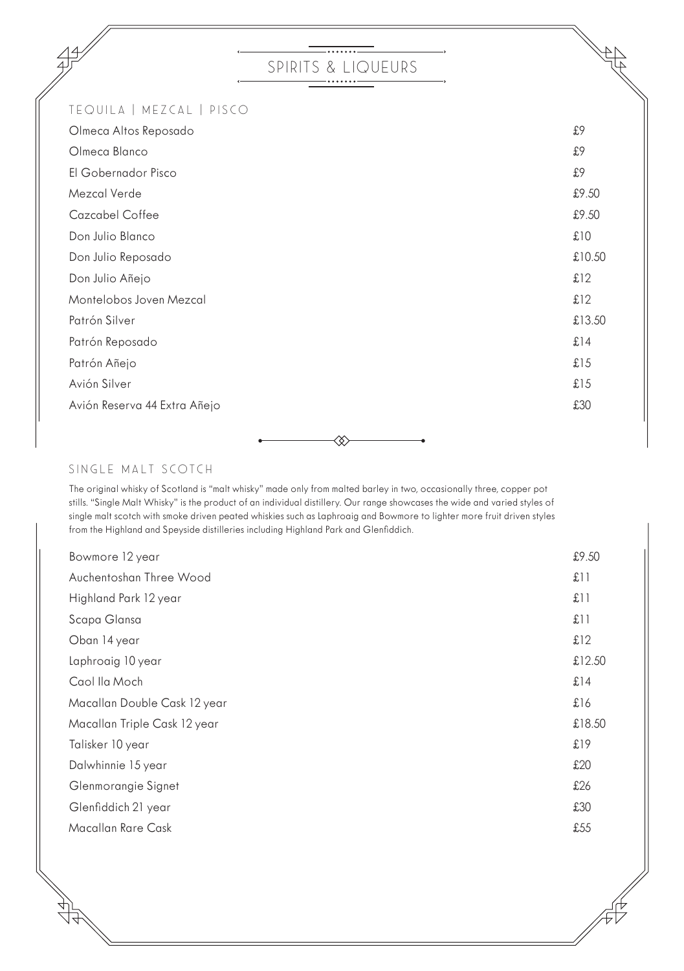## ....... SPIRITS & LIQUEURS

47

## TEQUILA | MEZCAL | PISCO

| Olmeca Altos Reposado        | £9     |
|------------------------------|--------|
| Olmeca Blanco                | £9     |
| El Gobernador Pisco          | £9     |
| Mezcal Verde                 | £9.50  |
| Cazcabel Coffee              | £9.50  |
| Don Julio Blanco             | £10    |
| Don Julio Reposado           | £10.50 |
| Don Julio Añejo              | £12    |
| Montelobos Joven Mezcal      | £12    |
| Patrón Silver                | £13.50 |
| Patrón Reposado              | £14    |
| Patrón Añejo                 | £15    |
| Avión Silver                 | £15    |
| Avión Reserva 44 Extra Añejo | £30    |
|                              |        |

⊗

## SINGLE MALT SCOTCH

The original whisky of Scotland is "malt whisky" made only from malted barley in two, occasionally three, copper pot stills. "Single Malt Whisky" is the product of an individual distillery. Our range showcases the wide and varied styles of single malt scotch with smoke driven peated whiskies such as Laphroaig and Bowmore to lighter more fruit driven styles from the Highland and Speyside distilleries including Highland Park and Glenfiddich.

| Bowmore 12 year              | £9.50  |
|------------------------------|--------|
| Auchentoshan Three Wood      | f1     |
| Highland Park 12 year        | £11    |
| Scapa Glansa                 | £11    |
| Oban 14 year                 | £12    |
| Laphroaig 10 year            | £12.50 |
| Caol Ila Moch                | £14    |
| Macallan Double Cask 12 year | £16    |
| Macallan Triple Cask 12 year | £18.50 |
| Talisker 10 year             | £19    |
| Dalwhinnie 15 year           | £20    |
| Glenmorangie Signet          | £26    |
| Glenfiddich 21 year          | £30    |
| Macallan Rare Cask           | £55    |
|                              |        |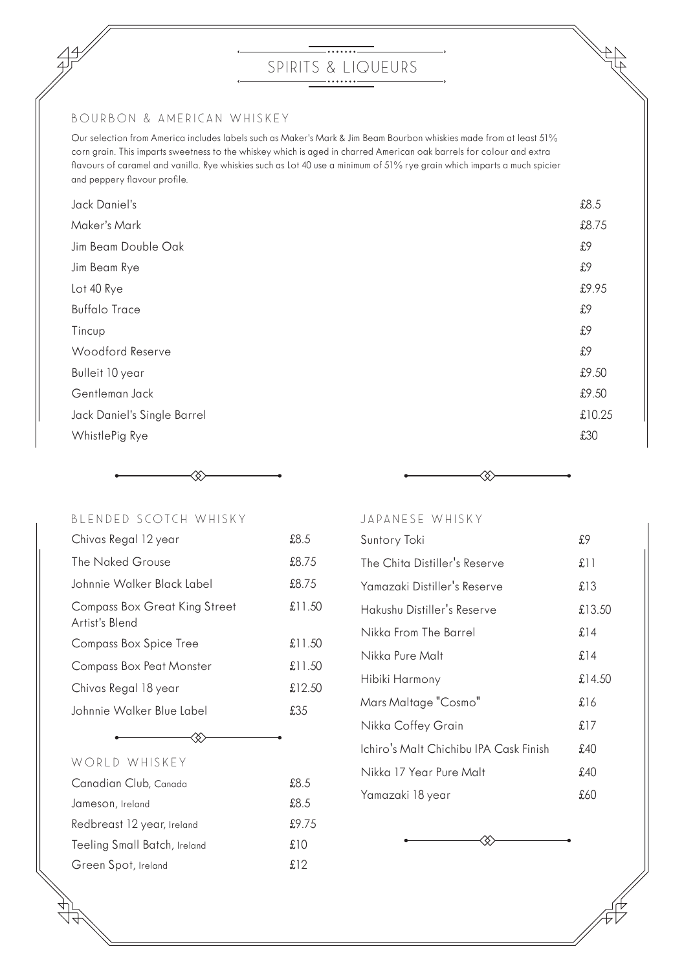#### BOURBON & AMERICAN WHISKEY

Our selection from America includes labels such as Maker's Mark & Jim Beam Bourbon whiskies made from at least 51% corn grain. This imparts sweetness to the whiskey which is aged in charred American oak barrels for colour and extra flavours of caramel and vanilla. Rye whiskies such as Lot 40 use a minimum of 51% rye grain which imparts a much spicier and peppery flavour profile.

| Jack Daniel's               | £8.5   |
|-----------------------------|--------|
| Maker's Mark                | £8.75  |
| Jim Beam Double Oak         | £9     |
| Jim Beam Rye                | £9     |
| Lot 40 Rye                  | £9.95  |
| <b>Buffalo Trace</b>        | £9     |
| Tincup                      | £9     |
| Woodford Reserve            | £9     |
| Bulleit 10 year             | £9.50  |
| Gentleman Jack              | £9.50  |
| Jack Daniel's Single Barrel | £10.25 |
| WhistlePig Rye              | £30    |
|                             |        |



#### BLENDED SCOTCH WHISKY

| Chivas Regal 12 year                            | £8.5   |
|-------------------------------------------------|--------|
| The Naked Grouse                                | £8.75  |
| Johnnie Walker Black Label                      | £8.75  |
| Compass Box Great King Street<br>Artist's Blend | £11.50 |
| Compass Box Spice Tree                          | £11.50 |
| Compass Box Peat Monster                        | £11.50 |
| Chivas Regal 18 year                            | £12.50 |
| Johnnie Walker Blue Label                       | £35    |
|                                                 |        |

# WORLD WHISKEY

| Canadian Club, Canada        | £8.5  |
|------------------------------|-------|
| Jameson, Ireland             | £8.5  |
| Redbreast 12 year, Ireland   | £9.75 |
| Teeling Small Batch, Ireland | £10   |
| Green Spot, Ireland          | £12   |

≪.



≪

JAPANESE WHISKY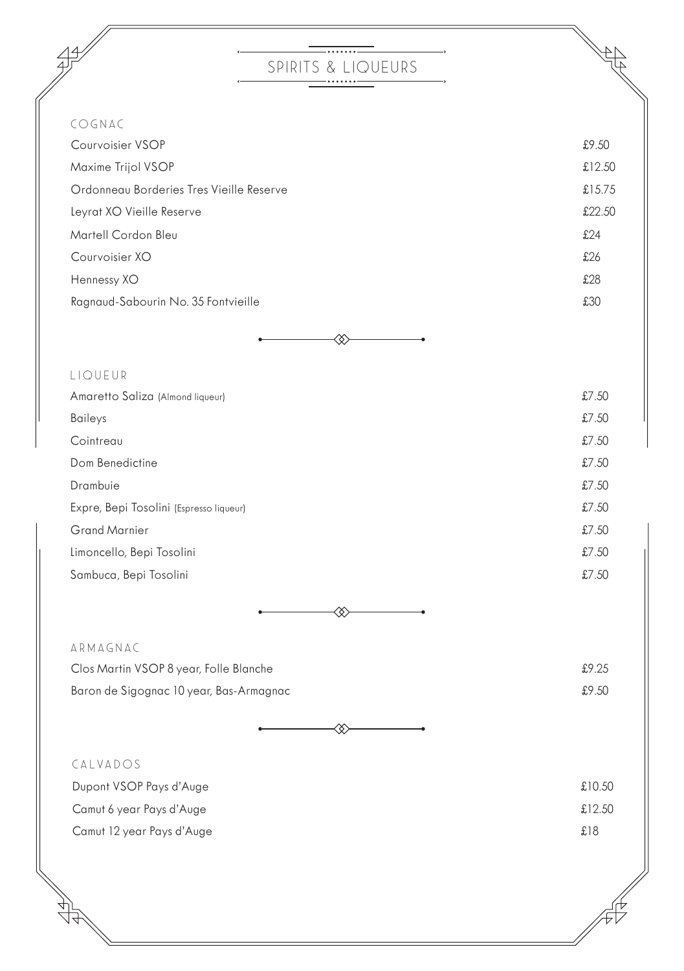# \_\_\_\_\_\_\_\_ SPIRITS & LIQUEURS

 $\rightarrow$ 

| COGNAC                                   |        |
|------------------------------------------|--------|
| Courvoisier VSOP                         | £9.50  |
| Maxime Trijol VSOP                       | £12.50 |
| Ordonneau Borderies Tres Vieille Reserve | £15.75 |
| Leyrat XO Vieille Reserve                | £22.50 |
| Martell Cordon Bleu                      | £24    |
| Courvoisier XO                           | £26    |
| Hennessy XO                              | £28    |
| Ragnaud-Sabourin No. 35 Fontvieille      | £30    |
| ◇                                        |        |

| LIQUEUR                                 |       |
|-----------------------------------------|-------|
| Amaretto Saliza (Almond liqueur)        | £7.50 |
| Baileys                                 | £7.50 |
| Cointreau                               | £7.50 |
| Dom Benedictine                         | £7.50 |
| Drambuie                                | £7.50 |
| Expre, Bepi Tosolini (Espresso liqueur) | £7.50 |
| <b>Grand Marnier</b>                    | £7.50 |
| Limoncello, Bepi Tosolini               | £7.50 |
| Sambuca, Bepi Tosolini                  | £7.50 |
|                                         |       |



| ARMAGNAC                                |       |
|-----------------------------------------|-------|
| Clos Martin VSOP 8 year, Folle Blanche  | £9.25 |
| Baron de Sigognac 10 year, Bas-Armagnac | £9.50 |



| CALVADOS |
|----------|
| $\cdots$ |

 $4^{4}$ 

| Dupont VSOP Pays d'Auge   | £10.50 |
|---------------------------|--------|
| Camut 6 year Pays d'Auge  | £12.50 |
| Camut 12 year Pays d'Auge | £18    |